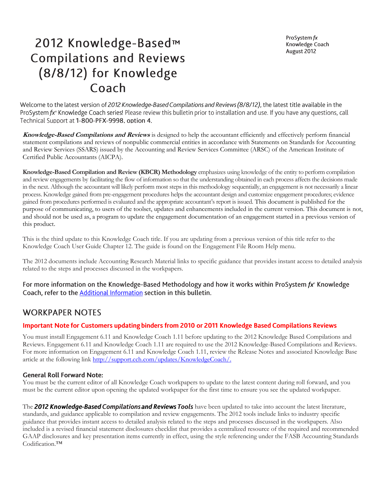ProSystem fx Knowledge Coach August 2012

# 2012 Knowledge-Based™ **Compilations and Reviews** (8/8/12) for Knowledge Coach

Welcome to the latest version of 2012 Knowledge-Based Compilations and Reviews (8/8/12), the latest title available in the ProSystem fx<sup>®</sup> Knowledge Coach series! Please review this bulletin prior to installation and use. If you have any questions, call Technical Support at 1-800-PFX-9998. option 4.

**Knowledge-Based Compilations and Reviews** is designed to help the accountant efficiently and effectively perform financial statement compilations and reviews of nonpublic commercial entities in accordance with Statements on Standards for Accounting and Review Services (SSARS) issued by the Accounting and Review Services Committee (ARSC) of the American Institute of Certified Public Accountants (AICPA).

**Knowledge-Based Compilation and Review (KBCR) Methodology** emphasizes using knowledge of the entity to perform compilation and review engagements by facilitating the flow of information so that the understanding obtained in each process affects the decisions made in the next. Although the accountant will likely perform most steps in this methodology sequentially, an engagement is not necessarily a linear process. Knowledge gained from pre-engagement procedures helps the accountant design and customize engagement procedures; evidence gained from procedures performed is evaluated and the appropriate accountant's report is issued. This document is published for the purpose of communicating, to users of the toolset, updates and enhancements included in the current version. This document is not, and should not be used as, a program to update the engagement documentation of an engagement started in a previous version of this product.

This is the third update to this Knowledge Coach title. If you are updating from a previous version of this title refer to the Knowledge Coach User Guide Chapter 12. The guide is found on the Engagement File Room Help menu.

The 2012 documents include Accounting Research Material links to specific guidance that provides instant access to detailed analysis related to the steps and processes discussed in the workpapers.

For more information on the Knowledge-Based Methodology and how it works within ProSystem fx° Knowledge Coach, refer to the Additional Information section in this bulletin.

# **WORKPAPER NOTES**

#### **Important Note for Customers updating binders from 2010 or 2011 Knowledge Based Compilations Reviews**

You must install Engagement 6.11 and Knowledge Coach 1.11 before updating to the 2012 Knowledge Based Compilations and Reviews. Engagement 6.11 and Knowledge Coach 1.11 are required to use the 2012 Knowledge-Based Compilations and Reviews. For more information on Engagement 6.11 and Knowledge Coach 1.11, review the Release Notes and associated Knowledge Base article at the following link [http://support.cch.com/updates/KnowledgeCoach/.](http://support.cch.com/updates/KnowledgeCoach/)

#### **General Roll Forward Note:**

You must be the current editor of all Knowledge Coach workpapers to update to the latest content during roll forward, and you must be the current editor upon opening the updated workpaper for the first time to ensure you see the updated workpaper.

The 2012 Knowledge-Based Compilations and Reviews Tools have been updated to take into account the latest literature, standards, and guidance applicable to compilation and review engagements. The 2012 tools include links to industry specific guidance that provides instant access to detailed analysis related to the steps and processes discussed in the workpapers. Also included is a revised financial statement disclosures checklist that provides a centralized resource of the required and recommended GAAP disclosures and key presentation items currently in effect, using the style referencing under the FASB Accounting Standards Codification.™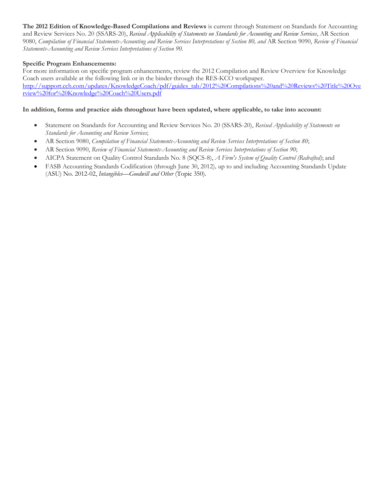**The 2012 Edition of Knowledge-Based Compilations and Reviews** is current through Statement on Standards for Accounting and Review Services No. 20 (SSARS-20), *Revised Applicability of Statements on Standards for Accounting and Review Services*, AR Section 9080, *Compilation of Financial Statements-Accounting and Review Services Interpretations of Section 80, and* AR Section 9090, *Review of Financial Statements-Accounting and Review Services Interpretations of Section 90.*

#### **Specific Program Enhancements:**

For more information on specific program enhancements, review the 2012 Compilation and Review Overview for Knowledge Coach users available at the following link or in the binder through the RES-KCO workpaper. [http://support.cch.com/updates/KnowledgeCoach/pdf/guides\\_tab/2012%20Compilations%20and%20Reviews%20Title%20Ove](http://support.cch.com/updates/KnowledgeCoach/pdf/guides_tab/2012%20Compilations%20and%20Reviews%20Title%20Overview%20for%20Knowledge%20Coach%20Users.pdf) [rview%20for%20Knowledge%20Coach%20Users.pdf](http://support.cch.com/updates/KnowledgeCoach/pdf/guides_tab/2012%20Compilations%20and%20Reviews%20Title%20Overview%20for%20Knowledge%20Coach%20Users.pdf)

#### **In addition, forms and practice aids throughout have been updated, where applicable, to take into account:**

- Statement on Standards for Accounting and Review Services No. 20 (SSARS-20), *Revised Applicability of Statements on Standards for Accounting and Review Services*;
- AR Section 9080, *Compilation of Financial Statements-Accounting and Review Services Interpretations of Section 80*;
- AR Section 9090, *Review of Financial Statements-Accounting and Review Services Interpretations of Section 90*;
- AICPA Statement on Quality Control Standards No. 8 (SQCS-8), *A Firm's System of Quality Control (Redrafted)*; and
- FASB Accounting Standards Codification (through June 30, 2012)*,* up to and including Accounting Standards Update (ASU) No. 2012-02, *Intangibles—Goodwill and Other* (Topic 350).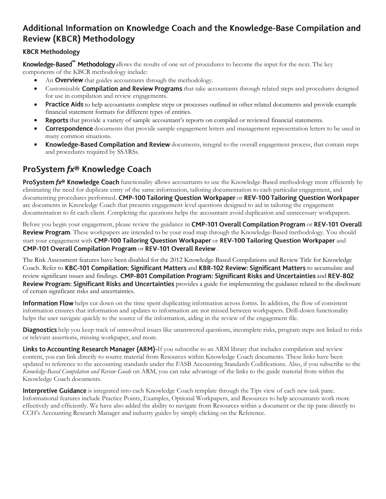# Additional Information on Knowledge Coach and the Knowledge-Base Compilation and **Review (KBCR) Methodology**

## **KBCR Methodology**

Knowledge-Based<sup>"</sup> Methodology allows the results of one set of procedures to become the input for the next. The key components of the KBCR methodology include:

- An **Overview** that guides accountants through the methodology.
- Customizable Compilation and Review Programs that take accountants through related steps and procedures designed for use in compilation and review engagements.
- **Practice Aids** to help accountants complete steps or processes outlined in other related documents and provide example financial statement formats for different types of entities.
- **Reports** that provide a variety of sample accountant's reports on compiled or reviewed financial statements.
- **Correspondence** documents that provide sample engagement letters and management representation letters to be used in many common situations.
- Knowledge-Based Compilation and Review documents, integral to the overall engagement process, that contain steps and procedures required by SSARSs.

# ProSystem fx® Knowledge Coach

**ProSystem fx® Knowledge Coach** functionality allows accountants to use the Knowledge-Based methodology more efficiently by eliminating the need for duplicate entry of the same information, tailoring documentation to each particular engagement, and documenting procedures performed. CMP-100 Tailoring Question Workpaper or REV-100 Tailoring Question Workpaper are documents in Knowledge Coach that presents engagement-level questions designed to aid in tailoring the engagement documentation to fit each client. Completing the questions helps the accountant avoid duplication and unnecessary workpapers.

Before you begin your engagement, please review the guidance in **CMP-101 Overall Compilation Program** or **REV-101 Overall** Review Program. These workpapers are intended to be your road map through the Knowledge-Based methodology. You should start your engagement with CMP-100 Tailoring Question Workpaper or REV-100 Tailoring Question Workpaper and CMP-101 Overall Compilation Program or REV-101 Overall Review.

The Risk Assessment features have been disabled for the 2012 Knowledge-Based Compilations and Review Title for Knowledge Coach. Refer to KBC-101 Compilation: Significant Matters and KBR-102 Review: Significant Matters to accumulate and review significant issues and findings. CMP-801 Compilation Program: Significant Risks and Uncertainties and REV-802 Review Program: Significant Risks and Uncertainties provides a guide for implementing the guidance related to the disclosure of certain significant risks and uncertainties.

**Information Flow** helps cut down on the time spent duplicating information across forms. In addition, the flow of consistent information ensures that information and updates to information are not missed between workpapers. Drill-down functionality helps the user navigate quickly to the source of the information, aiding in the review of the engagement file.

Diagnostics help you keep track of unresolved issues like unanswered questions, incomplete risks, program steps not linked to risks or relevant assertions, missing workpaper, and more.

Links to Accounting Research Manager (ARM)-If you subscribe to an ARM library that includes compilation and review content, you can link directly to source material from Resources within Knowledge Coach documents. These links have been updated to reference to the accounting standards under the FASB Accounting Standards Codifications. Also, if you subscribe to the *Knowledge-Based Compilation and Review Guide* on ARM, you can take advantage of the links to the guide material from within the Knowledge Coach documents.

**Interpretive Guidance** is integrated into each Knowledge Coach template through the Tips view of each new task pane. Informational features include Practice Points, Examples, Optional Workpapers, and Resources to help accountants work more effectively and efficiently. We have also added the ability to navigate from Resources within a document or the tip pane directly to CCH's Accounting Research Manager and industry guides by simply clicking on the Reference.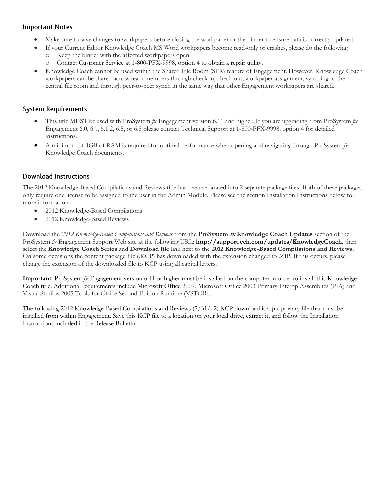#### **Important Notes**

- Make sure to save changes to workpapers before closing the workpaper or the binder to ensure data is correctly updated.
- If your Current Editor Knowledge Coach MS Word workpapers become read-only or crashes, please do the following
	- o Keep the binder with the affected workpapers open.
	- Contact Customer Service at 1-800-PFX-9998, option 4 to obtain a repair utility.
- Knowledge Coach cannot be used within the Shared File Room (SFR) feature of Engagement. However, Knowledge Coach workpapers can be shared across team members through check in, check out, workpaper assignment, synching to the central file room and through peer-to-peer synch in the same way that other Engagement workpapers are shared.

### **System Requirements**

- This title MUST be used with ProSystem *fx* Engagement version 6.11 and higher. If you are upgrading from ProSystem *fx*  Engagement 6.0, 6.1, 6.1.2, 6.5, or 6.8 please contact Technical Support at 1-800-PFX-9998, option 4 for detailed instructions.
- A minimum of 4GB of RAM is required for optimal performance when opening and navigating through ProSystem *fx*  Knowledge Coach documents.

## **Download Instructions**

The 2012 Knowledge-Based Compilations and Reviews title has been separated into 2 separate package files*.* Both of these packages only require one license to be assigned to the user in the Admin Module. Please see the section Installation Instructions below for more information.

- 2012 Knowledge-Based Compilations
- 2012 Knowledge-Based Reviews

Download the *2012 Knowledge-Based Compilations and Reviews* from the **ProSystem fx Knowledge Coach Updates** section of the ProSystem *fx* Engagement Support Web site at the following URL: **http://support.cch.com/updates/KnowledgeCoach**, then select the **Knowledge Coach Series** and **Download file** link next to the **2012 Knowledge-Based Compilations and Reviews.** On some occasions the content package file (.KCP) has downloaded with the extension changed to .ZIP. If this occurs, please change the extension of the downloaded file to KCP using all capital letters.

**Important**: ProSystem *fx* Engagement version 6.11 or higher must be installed on the computer in order to install this Knowledge Coach title. Additional requirements include Microsoft Office 2007, Microsoft Office 2003 Primary Interop Assemblies (PIA) and Visual Studios 2005 Tools for Office Second Edition Runtime (VSTOR).

The following 2012 Knowledge-Based Compilations and Reviews (7/31/12).KCP download is a proprietary file that must be installed from within Engagement. Save this KCP file to a location on your local drive, extract it, and follow the Installation Instructions included in the Release Bulletin.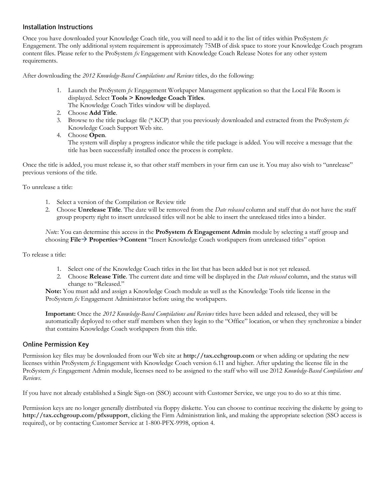#### **Installation Instructions**

Once you have downloaded your Knowledge Coach title, you will need to add it to the list of titles within ProSystem *fx*  Engagement. The only additional system requirement is approximately 75MB of disk space to store your Knowledge Coach program content files. Please refer to the ProSystem *fx* Engagement with Knowledge Coach Release Notes for any other system requirements.

After downloading the *2012 Knowledge-Based Compilations and Reviews* titles, do the following:

- 1. Launch the ProSystem *fx* Engagement Workpaper Management application so that the Local File Room is displayed. Select **Tools > Knowledge Coach Titles**. The Knowledge Coach Titles window will be displayed.
- 2. Choose **Add Title**.
- 3. Browse to the title package file (\*.KCP) that you previously downloaded and extracted from the ProSystem *fx*  Knowledge Coach Support Web site.
- 4. Choose **Open**.

The system will display a progress indicator while the title package is added. You will receive a message that the title has been successfully installed once the process is complete.

Once the title is added, you must release it, so that other staff members in your firm can use it. You may also wish to "unrelease" previous versions of the title.

To unrelease a title:

- 1. Select a version of the Compilation or Review title
- 2. Choose **Unrelease Title**. The date will be removed from the *Date released* column and staff that do not have the staff group property right to insert unreleased titles will not be able to insert the unreleased titles into a binder.

*Not*e: You can determine this access in the **ProSystem fx Engagement Admin** module by selecting a staff group and choosing **File PropertiesContent** "Insert Knowledge Coach workpapers from unreleased titles" option

To release a title:

- 1. Select one of the Knowledge Coach titles in the list that has been added but is not yet released.
- 2. Choose **Release Title**. The current date and time will be displayed in the *Date released* column, and the status will change to "Released."

**Note:** You must add and assign a Knowledge Coach module as well as the Knowledge Tools title license in the ProSystem *fx* Engagement Administrator before using the workpapers.

**Important:** Once the *2012 Knowledge-Based Compilations and Reviews* titles have been added and released, they will be automatically deployed to other staff members when they login to the "Office" location, or when they synchronize a binder that contains Knowledge Coach workpapers from this title.

#### **Online Permission Key**

Permission key files may be downloaded from our Web site at **http://tax.cchgroup.com** or when adding or updating the new licenses within ProSystem *fx* Engagement with Knowledge Coach version 6.11 and higher. After updating the license file in the ProSystem *fx* Engagement Admin module, licenses need to be assigned to the staff who will use 2012 *Knowledge-Based Compilations and Reviews*.

If you have not already established a Single Sign-on (SSO) account with Customer Service, we urge you to do so at this time.

Permission keys are no longer generally distributed via floppy diskette. You can choose to continue receiving the diskette by going to **http://tax.cchgroup.com/pfxsupport**, clicking the Firm Administration link, and making the appropriate selection (SSO access is required), or by contacting Customer Service at 1-800-PFX-9998, option 4.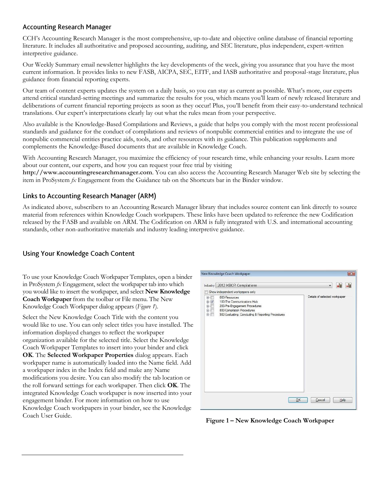#### **Accounting Research Manager**

CCH's Accounting Research Manager is the most comprehensive, up-to-date and objective online database of financial reporting literature. It includes all authoritative and proposed accounting, auditing, and SEC literature, plus independent, expert-written interpretive guidance.

Our Weekly Summary email newsletter highlights the key developments of the week, giving you assurance that you have the most current information. It provides links to new FASB, AICPA, SEC, EITF, and IASB authoritative and proposal-stage literature, plus guidance from financial reporting experts.

Our team of content experts updates the system on a daily basis, so you can stay as current as possible. What's more, our experts attend critical standard-setting meetings and summarize the results for you, which means you'll learn of newly released literature and deliberations of current financial reporting projects as soon as they occur! Plus, you'll benefit from their easy-to-understand technical translations. Our expert's interpretations clearly lay out what the rules mean from your perspective.

Also available is the Knowledge-Based Compilations and Reviews, a guide that helps you comply with the most recent professional standards and guidance for the conduct of compilations and reviews of nonpublic commercial entities and to integrate the use of nonpublic commercial entities practice aids, tools, and other resources with its guidance. This publication supplements and complements the Knowledge-Based documents that are available in Knowledge Coach.

With Accounting Research Manager, you maximize the efficiency of your research time, while enhancing your results. Learn more about our content, our experts, and how you can request your free trial by visiting

**http://www.accountingresearchmanager.com**. You can also access the Accounting Research Manager Web site by selecting the item in ProSystem *fx* Engagement from the Guidance tab on the Shortcuts bar in the Binder window.

#### Links to Accounting Research Manager (ARM)

As indicated above, subscribers to an Accounting Research Manager library that includes source content can link directly to source material from references within Knowledge Coach workpapers. These links have been updated to reference the new Codification released by the FASB and available on ARM. The Codification on ARM is fully integrated with U.S. and international accounting standards, other non-authoritative materials and industry leading interpretive guidance.

## **Using Your Knowledge Coach Content**

To use your Knowledge Coach Workpaper Templates, open a binder in ProSystem *fx* Engagement, select the workpaper tab into which you would like to insert the workpaper, and select **New Knowledge Coach Workpaper** from the toolbar or File menu. The New Knowledge Coach Workpaper dialog appears (*Figure 1*).

Select the New Knowledge Coach Title with the content you would like to use. You can only select titles you have installed. The information displayed changes to reflect the workpaper organization available for the selected title. Select the Knowledge Coach Workpaper Templates to insert into your binder and click **OK**. The **Selected Workpaper Properties** dialog appears. Each workpaper name is automatically loaded into the Name field. Add a workpaper index in the Index field and make any Name modifications you desire. You can also modify the tab location or the roll forward settings for each workpaper. Then click **OK**. The integrated Knowledge Coach workpaper is now inserted into your engagement binder. For more information on how to use Knowledge Coach workpapers in your binder, see the Knowledge Coach User Guide.



**Figure 1 – New Knowledge Coach Workpaper**